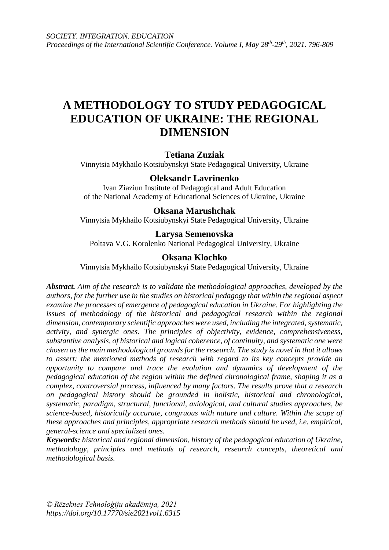# **A METHODOLOGY TO STUDY PEDAGOGICAL EDUCATION OF UKRAINE: THE REGIONAL DIMENSION**

### **Tetiana Zuziak**

Vinnytsia Mykhailo Kotsiubynskyi State Pedagogical University, Ukraine

### **Oleksandr Lavrinenko**

Ivan Ziaziun Institute of Pedagogical and Adult Education of the National Academy of Educational Sciences of Ukraine, Ukraine

### **Oksana Marushchak**

Vinnytsia Mykhailo Kotsiubynskyi State Pedagogical University, Ukraine

### **Larysa Semenovska**

Poltava V.G. Korolenko National Pedagogical University, Ukraine

#### **Oksana Klochko**

Vinnytsia Mykhailo Kotsiubynskyi State Pedagogical University, Ukraine

*Abstract. Aim of the research is to validate the methodological approaches, developed by the authors, for the further use in the studies on historical pedagogy that within the regional aspect examine the processes of emergence of pedagogical education in Ukraine. For highlighting the issues of methodology of the historical and pedagogical research within the regional dimension, contemporary scientific approaches were used, including the integrated, systematic, activity, and synergic ones. The principles of objectivity, evidence, comprehensiveness, substantive analysis, of historical and logical coherence, of continuity, and systematic one were chosen as the main methodological grounds for the research. The study is novel in that it allows to assert: the mentioned methods of research with regard to its key concepts provide an opportunity to compare and trace the evolution and dynamics of development of the pedagogical education of the region within the defined chronological frame, shaping it as a complex, controversial process, influenced by many factors. The results prove that a research on pedagogical history should be grounded in holistic, historical and chronological, systematic, paradigm, structural, functional, axiological, and cultural studies approaches, be science-based, historically accurate, congruous with nature and culture. Within the scope of these approaches and principles, appropriate research methods should be used, i.e. empirical, general-science and specialized ones.*

*Keywords: historical and regional dimension, history of the pedagogical education of Ukraine, methodology, principles and methods of research, research concepts, theoretical and methodological basis.*

*© Rēzeknes Tehnoloģiju akadēmija, 2021 https://doi.org/10.17770/sie2021vol1.6315*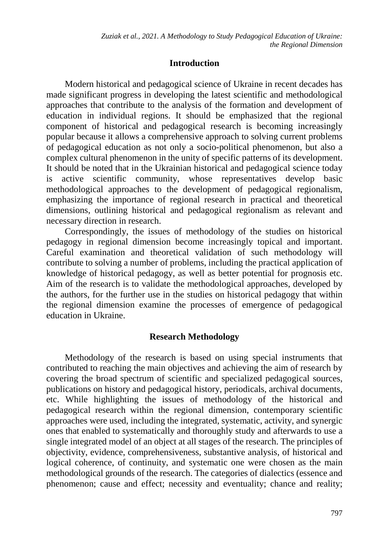## **Introduction**

Modern historical and pedagogical science of Ukraine in recent decades has made significant progress in developing the latest scientific and methodological approaches that contribute to the analysis of the formation and development of education in individual regions. It should be emphasized that the regional component of historical and pedagogical research is becoming increasingly popular because it allows a comprehensive approach to solving current problems of pedagogical education as not only a socio-political phenomenon, but also a complex cultural phenomenon in the unity of specific patterns of its development. It should be noted that in the Ukrainian historical and pedagogical science today is active scientific community, whose representatives develop basic methodological approaches to the development of pedagogical regionalism, emphasizing the importance of regional research in practical and theoretical dimensions, outlining historical and pedagogical regionalism as relevant and necessary direction in research.

Correspondingly, the issues of methodology of the studies on historical pedagogy in regional dimension become increasingly topical and important. Careful examination and theoretical validation of such methodology will contribute to solving a number of problems, including the practical application of knowledge of historical pedagogy, as well as better potential for prognosis etc. Aim of the research is to validate the methodological approaches, developed by the authors, for the further use in the studies on historical pedagogy that within the regional dimension examine the processes of emergence of pedagogical education in Ukraine.

### **Research Methodology**

Methodology of the research is based on using special instruments that contributed to reaching the main objectives and achieving the aim of research by covering the broad spectrum of scientific and specialized pedagogical sources, publications on history and pedagogical history, periodicals, archival documents, etc. While highlighting the issues of methodology of the historical and pedagogical research within the regional dimension, contemporary scientific approaches were used, including the integrated, systematic, activity, and synergic ones that enabled to systematically and thoroughly study and afterwards to use a single integrated model of an object at all stages of the research. The principles of objectivity, evidence, comprehensiveness, substantive analysis, of historical and logical coherence, of continuity, and systematic one were chosen as the main methodological grounds of the research. The categories of dialectics (essence and phenomenon; cause and effect; necessity and eventuality; chance and reality;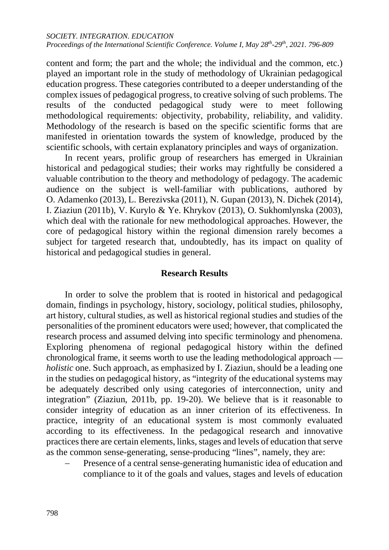content and form; the part and the whole; the individual and the common, etc.) played an important role in the study of methodology of Ukrainian pedagogical education progress. These categories contributed to a deeper understanding of the complex issues of pedagogical progress, to creative solving of such problems. The results of the conducted pedagogical study were to meet following methodological requirements: objectivity, probability, reliability, and validity. Methodology of the research is based on the specific scientific forms that are manifested in orientation towards the system of knowledge, produced by the scientific schools, with certain explanatory principles and ways of organization.

In recent years, prolific group of researchers has emerged in Ukrainian historical and pedagogical studies; their works may rightfully be considered a valuable contribution to the theory and methodology of pedagogy. The academic audience on the subject is well-familiar with publications, authored by O. Adamenko (2013), L. Berezivska (2011), N. Gupan (2013), N. Dichek (2014), I. Ziaziun (2011b), V. Kurylo & Ye. Khrykov (2013), O. Sukhomlynska (2003), which deal with the rationale for new methodological approaches. However, the core of pedagogical history within the regional dimension rarely becomes a subject for targeted research that, undoubtedly, has its impact on quality of historical and pedagogical studies in general.

### **Research Results**

In order to solve the problem that is rooted in historical and pedagogical domain, findings in psychology, history, sociology, political studies, philosophy, art history, cultural studies, as well as historical regional studies and studies of the personalities of the prominent educators were used; however, that complicated the research process and assumed delving into specific terminology and phenomena. Exploring phenomena of regional pedagogical history within the defined chronological frame, it seems worth to use the leading methodological approach *holistic* one. Such approach, as emphasized by I. Ziaziun, should be a leading one in the studies on pedagogical history, as "integrity of the educational systems may be adequately described only using categories of interconnection, unity and integration" (Ziaziun, 2011b, pp. 19-20). We believe that is it reasonable to consider integrity of education as an inner criterion of its effectiveness. In practice, integrity of an educational system is most commonly evaluated according to its effectiveness. In the pedagogical research and innovative practices there are certain elements, links, stages and levels of education that serve as the common sense-generating, sense-producing "lines", namely, they are:

Presence of a central sense-generating humanistic idea of education and compliance to it of the goals and values, stages and levels of education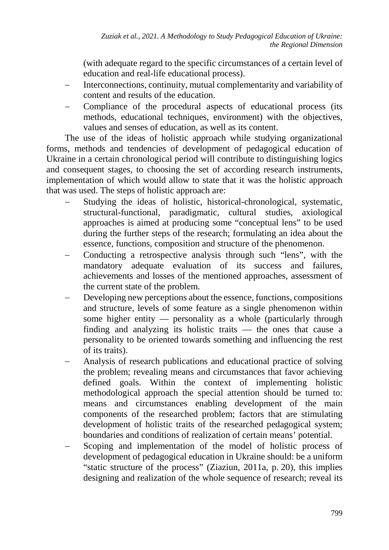(with adequate regard to the specific circumstances of a certain level of education and real-life educational process).

- Interconnections, continuity, mutual complementarity and variability of content and results of the education.
- Compliance of the procedural aspects of educational process (its methods, educational techniques, environment) with the objectives, values and senses of education, as well as its content.

The use of the ideas of holistic approach while studying organizational forms, methods and tendencies of development of pedagogical education of Ukraine in a certain chronological period will contribute to distinguishing logics and consequent stages, to choosing the set of according research instruments, implementation of which would allow to state that it was the holistic approach that was used. The steps of holistic approach are:

- Studying the ideas of holistic, historical-chronological, systematic, structural-functional, paradigmatic, cultural studies, axiological approaches is aimed at producing some "conceptual lens" to be used during the further steps of the research; formulating an idea about the essence, functions, composition and structure of the phenomenon.
- − Conducting a retrospective analysis through such "lens", with the mandatory adequate evaluation of its success and failures, achievements and losses of the mentioned approaches, assessment of the current state of the problem.
- Developing new perceptions about the essence, functions, compositions and structure, levels of some feature as a single phenomenon within some higher entity — personality as a whole (particularly through finding and analyzing its holistic traits — the ones that cause a personality to be oriented towards something and influencing the rest of its traits).
- − Analysis of research publications and educational practice of solving the problem; revealing means and circumstances that favor achieving defined goals. Within the context of implementing holistic methodological approach the special attention should be turned to: means and circumstances enabling development of the main components of the researched problem; factors that are stimulating development of holistic traits of the researched pedagogical system; boundaries and conditions of realization of certain means' potential.
- Scoping and implementation of the model of holistic process of development of pedagogical education in Ukraine should: be a uniform "static structure of the process" (Ziaziun, 2011a, p. 20), this implies designing and realization of the whole sequence of research; reveal its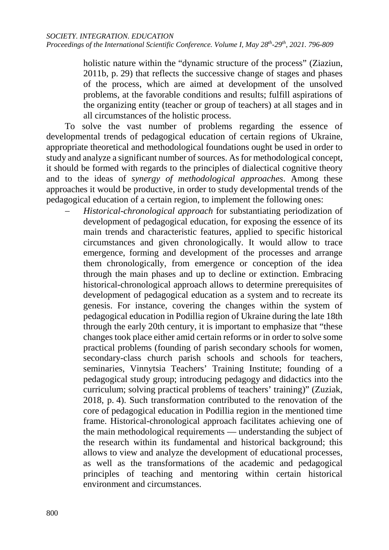holistic nature within the "dynamic structure of the process" (Ziaziun, 2011b, p. 29) that reflects the successive change of stages and phases of the process, which are aimed at development of the unsolved problems, at the favorable conditions and results; fulfill aspirations of the organizing entity (teacher or group of teachers) at all stages and in all circumstances of the holistic process.

To solve the vast number of problems regarding the essence of developmental trends of pedagogical education of certain regions of Ukraine, appropriate theoretical and methodological foundations ought be used in order to study and analyze a significant number of sources. As for methodological concept, it should be formed with regards to the principles of dialectical cognitive theory and to the ideas of *synergy of methodological approaches*. Among these approaches it would be productive, in order to study developmental trends of the pedagogical education of a certain region, to implement the following ones:

− *Historical-chronological approach* for substantiating periodization of development of pedagogical education, for exposing the essence of its main trends and characteristic features, applied to specific historical circumstances and given chronologically. It would allow to trace emergence, forming and development of the processes and arrange them chronologically, from emergence or conception of the idea through the main phases and up to decline or extinction. Embracing historical-chronological approach allows to determine prerequisites of development of pedagogical education as a system and to recreate its genesis. For instance, covering the changes within the system of pedagogical education in Podillia region of Ukraine during the late 18th through the early 20th century, it is important to emphasize that "these changes took place either amid certain reforms or in order to solve some practical problems (founding of parish secondary schools for women, secondary-class church parish schools and schools for teachers, seminaries, Vinnytsia Teachers' Training Institute; founding of a pedagogical study group; introducing pedagogy and didactics into the curriculum; solving practical problems of teachers' training)" (Zuziak, 2018, p. 4). Such transformation contributed to the renovation of the core of pedagogical education in Podillia region in the mentioned time frame. Historical-chronological approach facilitates achieving one of the main methodological requirements — understanding the subject of the research within its fundamental and historical background; this allows to view and analyze the development of educational processes, as well as the transformations of the academic and pedagogical principles of teaching and mentoring within certain historical environment and circumstances.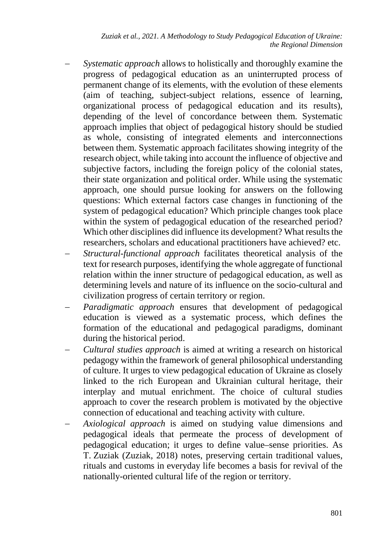*Zuziak et al., 2021. A Methodology to Study Pedagogical Education of Ukraine: the Regional Dimension*

- *Systematic approach* allows to holistically and thoroughly examine the progress of pedagogical education as an uninterrupted process of permanent change of its elements, with the evolution of these elements (aim of teaching, subject-subject relations, essence of learning, organizational process of pedagogical education and its results), depending of the level of concordance between them. Systematic approach implies that object of pedagogical history should be studied as whole, consisting of integrated elements and interconnections between them. Systematic approach facilitates showing integrity of the research object, while taking into account the influence of objective and subjective factors, including the foreign policy of the colonial states, their state organization and political order. While using the systematic approach, one should pursue looking for answers on the following questions: Which external factors case changes in functioning of the system of pedagogical education? Which principle changes took place within the system of pedagogical education of the researched period? Which other disciplines did influence its development? What results the researchers, scholars and educational practitioners have achieved? etc.
- *Structural-functional approach* facilitates theoretical analysis of the text for research purposes, identifying the whole aggregate of functional relation within the inner structure of pedagogical education, as well as determining levels and nature of its influence on the socio-cultural and civilization progress of certain territory or region.
- *Paradigmatic approach* ensures that development of pedagogical education is viewed as a systematic process, which defines the formation of the educational and pedagogical paradigms, dominant during the historical period.
- − *Cultural studies approach* is aimed at writing a research on historical pedagogy within the framework of general philosophical understanding of culture. It urges to view pedagogical education of Ukraine as closely linked to the rich European and Ukrainian cultural heritage, their interplay and mutual enrichment. The choice of cultural studies approach to cover the research problem is motivated by the objective connection of educational and teaching activity with culture.
- *Axiological approach* is aimed on studying value dimensions and pedagogical ideals that permeate the process of development of pedagogical education; it urges to define value–sense priorities. As T. Zuziak (Zuziak, 2018) notes, preserving certain traditional values, rituals and customs in everyday life becomes a basis for revival of the nationally-oriented cultural life of the region or territory.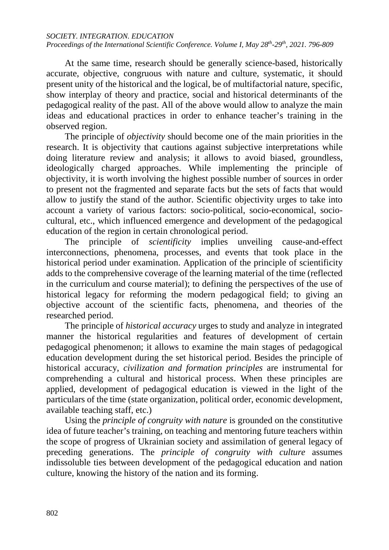#### *SOCIETY. INTEGRATION. EDUCATION*

*Proceedings of the International Scientific Conference. Volume I, May 28th-29th, 2021. 796-809*

At the same time, research should be generally science-based, historically accurate, objective, congruous with nature and culture, systematic, it should present unity of the historical and the logical, be of multifactorial nature, specific, show interplay of theory and practice, social and historical determinants of the pedagogical reality of the past. All of the above would allow to analyze the main ideas and educational practices in order to enhance teacher's training in the observed region.

The principle of *objectivity* should become one of the main priorities in the research. It is objectivity that cautions against subjective interpretations while doing literature review and analysis; it allows to avoid biased, groundless, ideologically charged approaches. While implementing the principle of objectivity, it is worth involving the highest possible number of sources in order to present not the fragmented and separate facts but the sets of facts that would allow to justify the stand of the author. Scientific objectivity urges to take into account a variety of various factors: socio-political, socio-economical, sociocultural, etc., which influenced emergence and development of the pedagogical education of the region in certain chronological period.

The principle of *scientificity* implies unveiling cause-and-effect interconnections, phenomena, processes, and events that took place in the historical period under examination. Application of the principle of scientificity adds to the comprehensive coverage of the learning material of the time (reflected in the curriculum and course material); to defining the perspectives of the use of historical legacy for reforming the modern pedagogical field; to giving an objective account of the scientific facts, phenomena, and theories of the researched period.

The principle of *historical accuracy* urges to study and analyze in integrated manner the historical regularities and features of development of certain pedagogical phenomenon; it allows to examine the main stages of pedagogical education development during the set historical period. Besides the principle of historical accuracy, *civilization and formation principles* are instrumental for comprehending a cultural and historical process. When these principles are applied, development of pedagogical education is viewed in the light of the particulars of the time (state organization, political order, economic development, available teaching staff, etc.)

Using the *principle of congruity with nature* is grounded on the constitutive idea of future teacher's training, on teaching and mentoring future teachers within the scope of progress of Ukrainian society and assimilation of general legacy of preceding generations. The *principle of congruity with culture* assumes indissoluble ties between development of the pedagogical education and nation culture, knowing the history of the nation and its forming.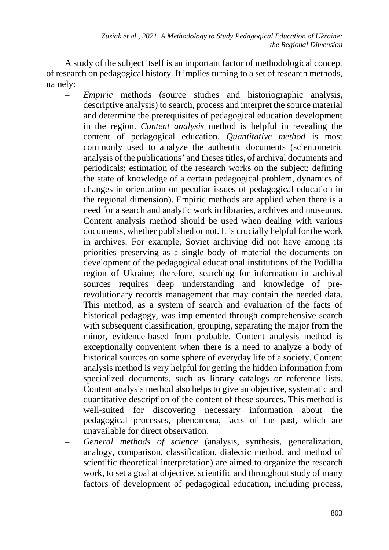A study of the subject itself is an important factor of methodological concept of research on pedagogical history. It implies turning to a set of research methods, namely:

- *Empiric* methods (source studies and historiographic analysis, descriptive analysis) to search, process and interpret the source material and determine the prerequisites of pedagogical education development in the region. *Content analysis* method is helpful in revealing the content of pedagogical education. *Quantitative method* is most commonly used to analyze the authentic documents (scientometric analysis of the publications' and theses titles, of archival documents and periodicals; estimation of the research works on the subject; defining the state of knowledge of a certain pedagogical problem, dynamics of changes in orientation on peculiar issues of pedagogical education in the regional dimension). Empiric methods are applied when there is a need for a search and analytic work in libraries, archives and museums. Content analysis method should be used when dealing with various documents, whether published or not. It is crucially helpful for the work in archives. For example, Soviet archiving did not have among its priorities preserving as a single body of material the documents on development of the pedagogical educational institutions of the Podillia region of Ukraine; therefore, searching for information in archival sources requires deep understanding and knowledge of prerevolutionary records management that may contain the needed data. This method, as a system of search and evaluation of the facts of historical pedagogy, was implemented through comprehensive search with subsequent classification, grouping, separating the major from the minor, evidence-based from probable. Content analysis method is exceptionally convenient when there is a need to analyze a body of historical sources on some sphere of everyday life of a society. Content analysis method is very helpful for getting the hidden information from specialized documents, such as library catalogs or reference lists. Content analysis method also helps to give an objective, systematic and quantitative description of the content of these sources. This method is well-suited for discovering necessary information about the pedagogical processes, phenomena, facts of the past, which are unavailable for direct observation.
	- *General methods of science* (analysis, synthesis, generalization, analogy, comparison, classification, dialectic method, and method of scientific theoretical interpretation) are aimed to organize the research work, to set a goal at objective, scientific and throughout study of many factors of development of pedagogical education, including process,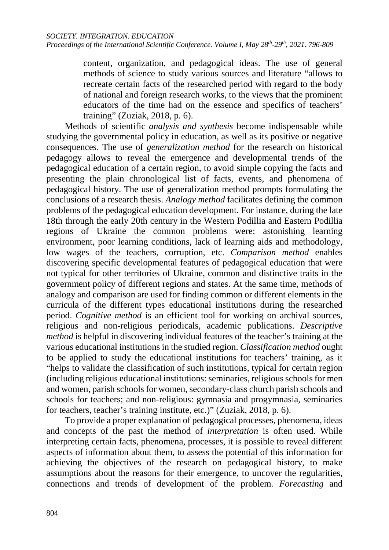content, organization, and pedagogical ideas. The use of general methods of science to study various sources and literature "allows to recreate certain facts of the researched period with regard to the body of national and foreign research works, to the views that the prominent educators of the time had on the essence and specifics of teachers' training" (Zuziak, 2018, p. 6).

Methods of scientific *analysis and synthesis* become indispensable while studying the governmental policy in education, as well as its positive or negative consequences. The use of *generalization method* for the research on historical pedagogy allows to reveal the emergence and developmental trends of the pedagogical education of a certain region, to avoid simple copying the facts and presenting the plain chronological list of facts, events, and phenomena of pedagogical history. The use of generalization method prompts formulating the conclusions of a research thesis. *Analogy method* facilitates defining the common problems of the pedagogical education development. For instance, during the late 18th through the early 20th century in the Western Podillia and Eastern Podillia regions of Ukraine the common problems were: astonishing learning environment, poor learning conditions, lack of learning aids and methodology, low wages of the teachers, corruption, etc. *Comparison method* enables discovering specific developmental features of pedagogical education that were not typical for other territories of Ukraine, common and distinctive traits in the government policy of different regions and states. At the same time, methods of analogy and comparison are used for finding common or different elements in the curricula of the different types educational institutions during the researched period. *Cognitive method* is an efficient tool for working on archival sources, religious and non-religious periodicals, academic publications. *Descriptive method* is helpful in discovering individual features of the teacher's training at the various educational institutions in the studied region. *Classification method* ought to be applied to study the educational institutions for teachers' training, as it "helps to validate the classification of such institutions, typical for certain region (including religious educational institutions: seminaries, religious schools for men and women, parish schools for women, secondary-class church parish schools and schools for teachers; and non-religious: gymnasia and progymnasia, seminaries for teachers, teacher's training institute, etc.)" (Zuziak, 2018, p. 6).

To provide a proper explanation of pedagogical processes, phenomena, ideas and concepts of the past the method of *interpretation* is often used. While interpreting certain facts, phenomena, processes, it is possible to reveal different aspects of information about them, to assess the potential of this information for achieving the objectives of the research on pedagogical history, to make assumptions about the reasons for their emergence, to uncover the regularities, connections and trends of development of the problem. *Forecasting* and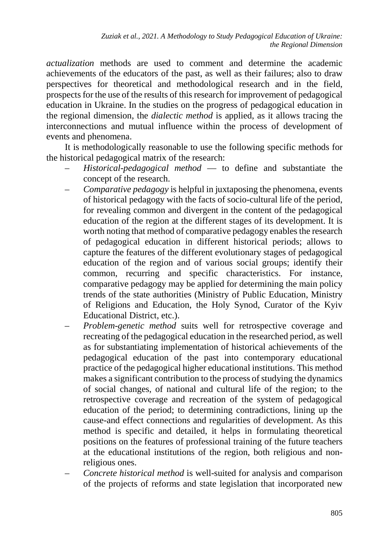*actualization* methods are used to comment and determine the academic achievements of the educators of the past, as well as their failures; also to draw perspectives for theoretical and methodological research and in the field, prospects for the use of the results of this research for improvement of pedagogical education in Ukraine. In the studies on the progress of pedagogical education in the regional dimension, the *dialectic method* is applied, as it allows tracing the interconnections and mutual influence within the process of development of events and phenomena.

It is methodologically reasonable to use the following specific methods for the historical pedagogical matrix of the research:

- *Historical-pedagogical method* to define and substantiate the concept of the research.
- *Comparative pedagogy* is helpful in juxtaposing the phenomena, events of historical pedagogy with the facts of socio-cultural life of the period, for revealing common and divergent in the content of the pedagogical education of the region at the different stages of its development. It is worth noting that method of comparative pedagogy enables the research of pedagogical education in different historical periods; allows to capture the features of the different evolutionary stages of pedagogical education of the region and of various social groups; identify their common, recurring and specific characteristics. For instance, comparative pedagogy may be applied for determining the main policy trends of the state authorities (Ministry of Public Education, Ministry of Religions and Education, the Holy Synod, Curator of the Kyiv Educational District, etc.).
- *Problem-genetic method* suits well for retrospective coverage and recreating of the pedagogical education in the researched period, as well as for substantiating implementation of historical achievements of the pedagogical education of the past into contemporary educational practice of the pedagogical higher educational institutions. This method makes a significant contribution to the process of studying the dynamics of social changes, of national and cultural life of the region; to the retrospective coverage and recreation of the system of pedagogical education of the period; to determining contradictions, lining up the cause-and effect connections and regularities of development. As this method is specific and detailed, it helps in formulating theoretical positions on the features of professional training of the future teachers at the educational institutions of the region, both religious and nonreligious ones.
- *Concrete historical method* is well-suited for analysis and comparison of the projects of reforms and state legislation that incorporated new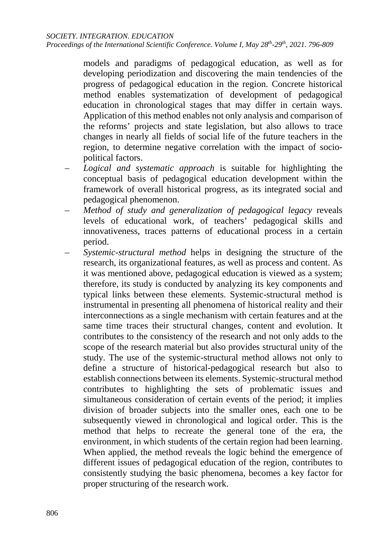models and paradigms of pedagogical education, as well as for developing periodization and discovering the main tendencies of the progress of pedagogical education in the region. Concrete historical method enables systematization of development of pedagogical education in chronological stages that may differ in certain ways. Application of this method enables not only analysis and comparison of the reforms' projects and state legislation, but also allows to trace changes in nearly all fields of social life of the future teachers in the region, to determine negative correlation with the impact of sociopolitical factors.

- *Logical and systematic approach* is suitable for highlighting the conceptual basis of pedagogical education development within the framework of overall historical progress, as its integrated social and pedagogical phenomenon.
- *Method of study and generalization of pedagogical legacy* reveals levels of educational work, of teachers' pedagogical skills and innovativeness, traces patterns of educational process in a certain period.
- *Systemic-structural method* helps in designing the structure of the research, its organizational features, as well as process and content. As it was mentioned above, pedagogical education is viewed as a system; therefore, its study is conducted by analyzing its key components and typical links between these elements. Systemic-structural method is instrumental in presenting all phenomena of historical reality and their interconnections as a single mechanism with certain features and at the same time traces their structural changes, content and evolution. It contributes to the consistency of the research and not only adds to the scope of the research material but also provides structural unity of the study. The use of the systemic-structural method allows not only to define a structure of historical-pedagogical research but also to establish connections between its elements. Systemic-structural method contributes to highlighting the sets of problematic issues and simultaneous consideration of certain events of the period; it implies division of broader subjects into the smaller ones, each one to be subsequently viewed in chronological and logical order. This is the method that helps to recreate the general tone of the era, the environment, in which students of the certain region had been learning. When applied, the method reveals the logic behind the emergence of different issues of pedagogical education of the region, contributes to consistently studying the basic phenomena, becomes a key factor for proper structuring of the research work.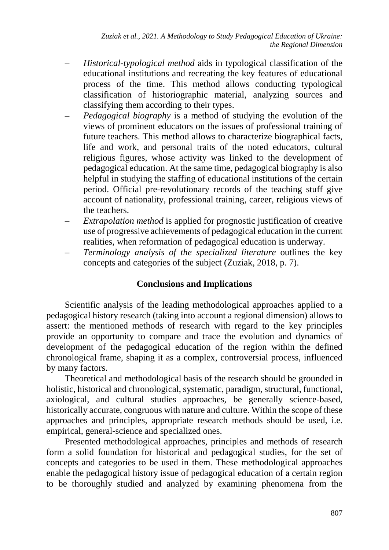- *Historical-typological method* aids in typological classification of the educational institutions and recreating the key features of educational process of the time. This method allows conducting typological classification of historiographic material, analyzing sources and classifying them according to their types.
- *Pedagogical biography* is a method of studying the evolution of the views of prominent educators on the issues of professional training of future teachers. This method allows to characterize biographical facts, life and work, and personal traits of the noted educators, cultural religious figures, whose activity was linked to the development of pedagogical education. At the same time, pedagogical biography is also helpful in studying the staffing of educational institutions of the certain period. Official pre-revolutionary records of the teaching stuff give account of nationality, professional training, career, religious views of the teachers.
- *Extrapolation method* is applied for prognostic justification of creative use of progressive achievements of pedagogical education in the current realities, when reformation of pedagogical education is underway.
- *Terminology analysis of the specialized literature* outlines the key concepts and categories of the subject (Zuziak, 2018, p. 7).

### **Conclusions and Implications**

Scientific analysis of the leading methodological approaches applied to a pedagogical history research (taking into account a regional dimension) allows to assert: the mentioned methods of research with regard to the key principles provide an opportunity to compare and trace the evolution and dynamics of development of the pedagogical education of the region within the defined chronological frame, shaping it as a complex, controversial process, influenced by many factors.

Theoretical and methodological basis of the research should be grounded in holistic, historical and chronological, systematic, paradigm, structural, functional, axiological, and cultural studies approaches, be generally science-based, historically accurate, congruous with nature and culture. Within the scope of these approaches and principles, appropriate research methods should be used, i.e. empirical, general-science and specialized ones.

Presented methodological approaches, principles and methods of research form a solid foundation for historical and pedagogical studies, for the set of concepts and categories to be used in them. These methodological approaches enable the pedagogical history issue of pedagogical education of a certain region to be thoroughly studied and analyzed by examining phenomena from the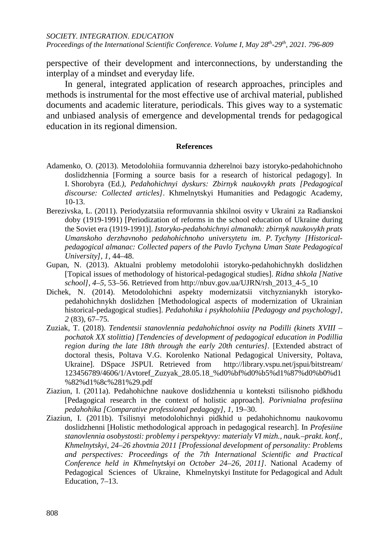perspective of their development and interconnections, by understanding the interplay of a mindset and everyday life.

In general, integrated application of research approaches, principles and methods is instrumental for the most effective use of archival material, published documents and academic literature, periodicals. This gives way to a systematic and unbiased analysis of emergence and developmental trends for pedagogical education in its regional dimension.

#### **References**

- Adamenko, O. (2013). Metodolohiia formuvannia dzherelnoi bazy istoryko-pedahohichnoho doslidzhennia [Forming a source basis for a research of historical pedagogy]. In I. Shorobyra (Ed*.)*, *Pedahohichnyi dyskurs: Zbirnyk naukovykh prats [Pedagogical discourse: Collected articles]*. Khmelnytskyi Humanities and Pedagogic Academy, 10-13.
- Berezivska, L. (2011). Periodyzatsiia reformuvannia shkilnoi osvity v Ukraini za Radianskoi doby (1919-1991) [Periodization of reforms in the school education of Ukraine during the Soviet era (1919-1991)]. *Istoryko-pedahohichnyi almanakh: zbirnyk naukovykh prats Umanskoho derzhavnoho pedahohichnoho universytetu im. P. Tychyny [Historicalpedagogical almanac: Collected papers of the Pavlo Tychyna Uman State Pedagogical University], 1,* 44–48.
- Gupan, N. (2013). Aktualni problemy metodolohii istoryko-pedahohichnykh doslidzhen [Topical issues of methodology of historical-pedagogical studies]. *Ridna shkola [Native school], 4*–*5,* 53–56. Retrieved from [http://nbuv.gov.ua/UJRN/rsh\\_2013\\_4-5\\_10](http://nbuv.gov.ua/UJRN/rsh_2013_4-5_10)
- Dichek, N. (2014). Metodolohichni aspekty modernizatsii vitchyznianykh istorykopedahohichnykh doslidzhen [Methodological aspects of modernization of Ukrainian historical-pedagogical studies]. *Pedahohika i psykholohiia [Pedagogy and psychology], 2* (83), 67–75.
- Zuziak, T. (2018). *Tendentsii stanovlennia pedahohichnoi osvity na Podilli (kinets XVIII – pochatok XX stolittia) [Tendencies of development of pedagogical education in Podillia region during the late 18th through the early 20th centuries].* [Extended abstract of doctoral thesis, Poltava V.G. Korolenko National Pedagogical University, Poltava, Ukraine]. DSpace JSPUI. Retrieved from [http://library.vspu.net/jspui/bitstream/](http://library.vspu.net/jspui/bitstream/%20123456789/4606/1/Avtoref_Zuzyak_28.05.18_%d0%bf%d0%b5%d1%87%d0%b0%d1%82%d1%8c%281%29.pdf)  [123456789/4606/1/Avtoref\\_Zuzyak\\_28.05.18\\_%d0%bf%d0%b5%d1%87%d0%b0%d1](http://library.vspu.net/jspui/bitstream/%20123456789/4606/1/Avtoref_Zuzyak_28.05.18_%d0%bf%d0%b5%d1%87%d0%b0%d1%82%d1%8c%281%29.pdf) [%82%d1%8c%281%29.pdf](http://library.vspu.net/jspui/bitstream/%20123456789/4606/1/Avtoref_Zuzyak_28.05.18_%d0%bf%d0%b5%d1%87%d0%b0%d1%82%d1%8c%281%29.pdf)
- Ziaziun, I. (2011a). Pedahohichne naukove doslidzhennia u konteksti tsilisnoho pidkhodu [Pedagogical research in the context of holistic approach]. *Porivnialna profesiina pedahohika [Comparative professional pedagogy], 1,* 19–30.
- Ziaziun, I. (2011b). Tsilisnyi metodolohichnyi pidkhid u pedahohichnomu naukovomu doslidzhenni [Holistic methodological approach in pedagogical research]. In *Profesiine stanovlennia osobystosti: problemy i perspektyvy: materialy VI mizh., nauk.*–*prakt. konf., Khmelnytskyi, 24–26 zhovtnia 2011 [Professional development of personality: Problems and perspectives: Proceedings of the 7th International Scientific and Practical Conference held in Khmelnytskyi on October 24–26, 2011]*. National Academy of Pedagogical Sciences of Ukraine, Khmelnytskyi Institute for Pedagogical and Adult Education, 7–13.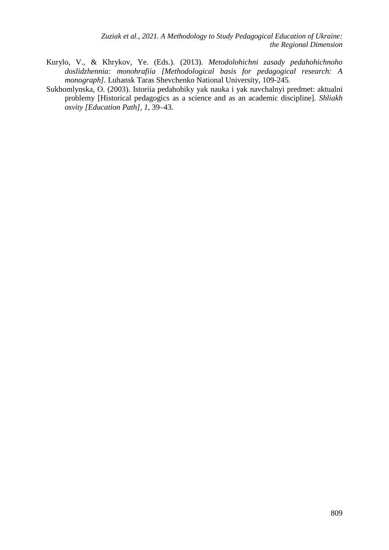- Kurylo, V., & Khrykov, Ye. (Eds.). (2013). *Metodolohichni zasady pedahohichnoho doslidzhennia: monohrafiia [Methodological basis for pedagogical research: A monograph].* Luhansk Taras Shevchenko National University, 109-245.
- Sukhomlynska, O. (2003). Istoriia pedahohiky yak nauka i yak navchalnyi predmet: aktualni problemy [Historical pedagogics as a science and as an academic discipline]. *Shliakh osvity [Education Path], 1,* 39–43.